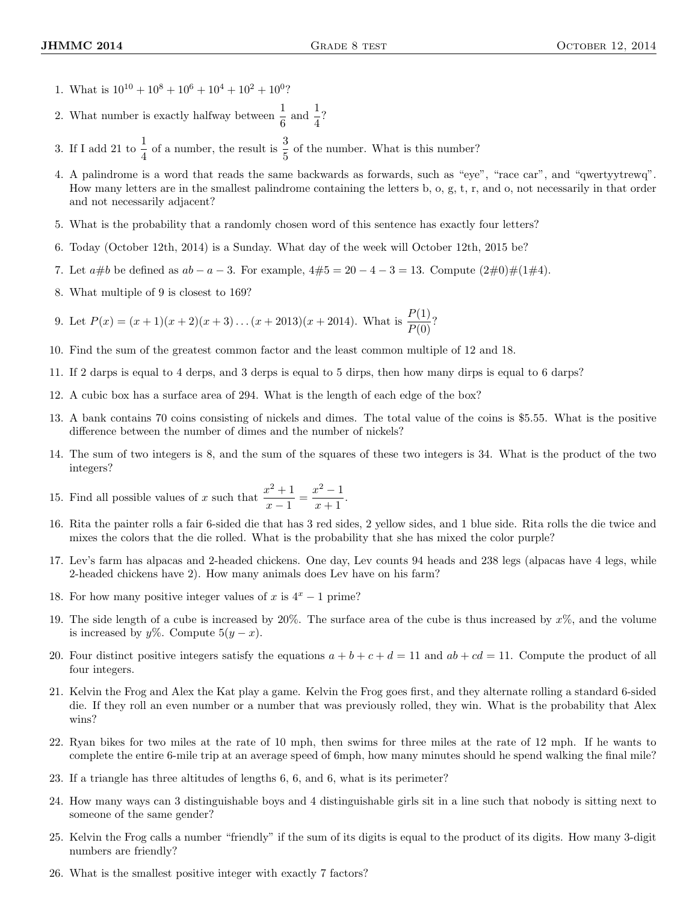- 1. What is  $10^{10} + 10^8 + 10^6 + 10^4 + 10^2 + 10^0$ ?
- 2. What number is exactly halfway between  $\frac{1}{6}$  and  $\frac{1}{4}$ ?
- 3. If I add 21 to  $\frac{1}{4}$  of a number, the result is  $\frac{3}{5}$  of the number. What is this number?
- 4. A palindrome is a word that reads the same backwards as forwards, such as "eye", "race car", and "qwertyytrewq". How many letters are in the smallest palindrome containing the letters b, o, g, t, r, and o, not necessarily in that order and not necessarily adjacent?
- 5. What is the probability that a randomly chosen word of this sentence has exactly four letters?
- 6. Today (October 12th, 2014) is a Sunday. What day of the week will October 12th, 2015 be?
- 7. Let  $a\#b$  be defined as  $ab a 3$ . For example,  $4\#5 = 20 4 3 = 13$ . Compute  $(2\#0)\#(1\#4)$ .
- 8. What multiple of 9 is closest to 169?

9. Let  $P(x) = (x + 1)(x + 2)(x + 3) \dots (x + 2013)(x + 2014)$ . What is  $\frac{P(1)}{P(0)}$ ?

- 10. Find the sum of the greatest common factor and the least common multiple of 12 and 18.
- 11. If 2 darps is equal to 4 derps, and 3 derps is equal to 5 dirps, then how many dirps is equal to 6 darps?
- 12. A cubic box has a surface area of 294. What is the length of each edge of the box?
- 13. A bank contains 70 coins consisting of nickels and dimes. The total value of the coins is \$5.55. What is the positive difference between the number of dimes and the number of nickels?
- 14. The sum of two integers is 8, and the sum of the squares of these two integers is 34. What is the product of the two integers?

15. Find all possible values of x such that 
$$
\frac{x^2+1}{x-1} = \frac{x^2-1}{x+1}.
$$

- 16. Rita the painter rolls a fair 6-sided die that has 3 red sides, 2 yellow sides, and 1 blue side. Rita rolls the die twice and mixes the colors that the die rolled. What is the probability that she has mixed the color purple?
- 17. Lev's farm has alpacas and 2-headed chickens. One day, Lev counts 94 heads and 238 legs (alpacas have 4 legs, while 2-headed chickens have 2). How many animals does Lev have on his farm?
- 18. For how many positive integer values of x is  $4^x 1$  prime?
- 19. The side length of a cube is increased by  $20\%$ . The surface area of the cube is thus increased by  $x\%$ , and the volume is increased by y%. Compute  $5(y - x)$ .
- 20. Four distinct positive integers satisfy the equations  $a + b + c + d = 11$  and  $ab + cd = 11$ . Compute the product of all four integers.
- 21. Kelvin the Frog and Alex the Kat play a game. Kelvin the Frog goes first, and they alternate rolling a standard 6-sided die. If they roll an even number or a number that was previously rolled, they win. What is the probability that Alex wins?
- 22. Ryan bikes for two miles at the rate of 10 mph, then swims for three miles at the rate of 12 mph. If he wants to complete the entire 6-mile trip at an average speed of 6mph, how many minutes should he spend walking the final mile?
- 23. If a triangle has three altitudes of lengths 6, 6, and 6, what is its perimeter?
- 24. How many ways can 3 distinguishable boys and 4 distinguishable girls sit in a line such that nobody is sitting next to someone of the same gender?
- 25. Kelvin the Frog calls a number "friendly" if the sum of its digits is equal to the product of its digits. How many 3-digit numbers are friendly?
- 26. What is the smallest positive integer with exactly 7 factors?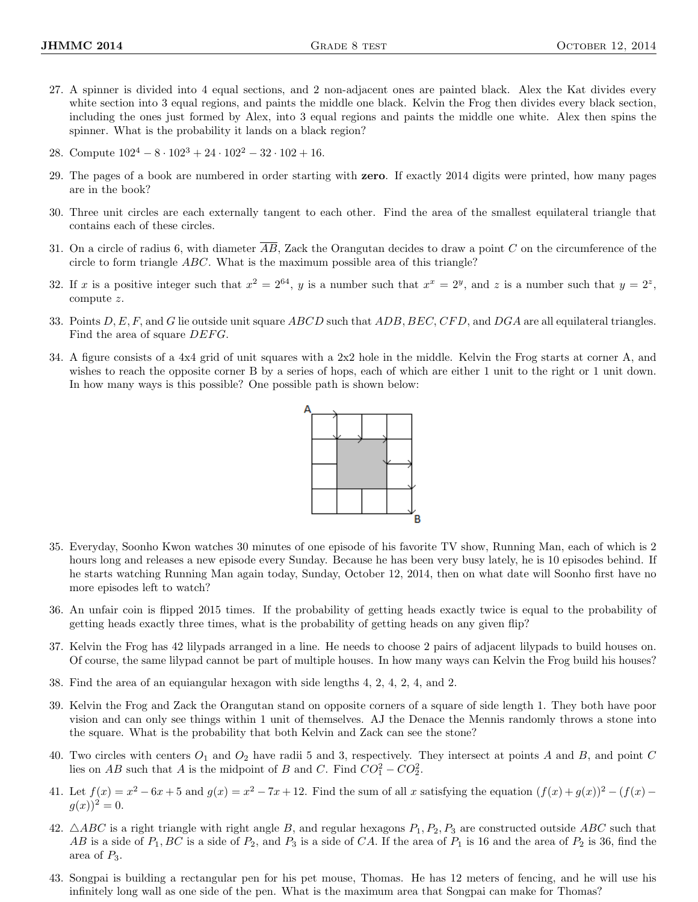- 27. A spinner is divided into 4 equal sections, and 2 non-adjacent ones are painted black. Alex the Kat divides every white section into 3 equal regions, and paints the middle one black. Kelvin the Frog then divides every black section, including the ones just formed by Alex, into 3 equal regions and paints the middle one white. Alex then spins the spinner. What is the probability it lands on a black region?
- 28. Compute  $102^4 8 \cdot 102^3 + 24 \cdot 102^2 32 \cdot 102 + 16$ .
- 29. The pages of a book are numbered in order starting with zero. If exactly 2014 digits were printed, how many pages are in the book?
- 30. Three unit circles are each externally tangent to each other. Find the area of the smallest equilateral triangle that contains each of these circles.
- 31. On a circle of radius 6, with diameter  $\overline{AB}$ , Zack the Orangutan decides to draw a point C on the circumference of the circle to form triangle  $ABC$ . What is the maximum possible area of this triangle?
- 32. If x is a positive integer such that  $x^2 = 2^{64}$ , y is a number such that  $x^x = 2^y$ , and z is a number such that  $y = 2^z$ , compute z.
- 33. Points  $D, E, F$ , and G lie outside unit square ABCD such that ADB, BEC, CFD, and DGA are all equilateral triangles. Find the area of square *DEFG*.
- 34. A figure consists of a 4x4 grid of unit squares with a 2x2 hole in the middle. Kelvin the Frog starts at corner A, and wishes to reach the opposite corner B by a series of hops, each of which are either 1 unit to the right or 1 unit down. In how many ways is this possible? One possible path is shown below:



- 35. Everyday, Soonho Kwon watches 30 minutes of one episode of his favorite TV show, Running Man, each of which is 2 hours long and releases a new episode every Sunday. Because he has been very busy lately, he is 10 episodes behind. If he starts watching Running Man again today, Sunday, October 12, 2014, then on what date will Soonho first have no more episodes left to watch?
- 36. An unfair coin is flipped 2015 times. If the probability of getting heads exactly twice is equal to the probability of getting heads exactly three times, what is the probability of getting heads on any given flip?
- 37. Kelvin the Frog has 42 lilypads arranged in a line. He needs to choose 2 pairs of adjacent lilypads to build houses on. Of course, the same lilypad cannot be part of multiple houses. In how many ways can Kelvin the Frog build his houses?
- 38. Find the area of an equiangular hexagon with side lengths 4, 2, 4, 2, 4, and 2.
- 39. Kelvin the Frog and Zack the Orangutan stand on opposite corners of a square of side length 1. They both have poor vision and can only see things within 1 unit of themselves. AJ the Denace the Mennis randomly throws a stone into the square. What is the probability that both Kelvin and Zack can see the stone?
- 40. Two circles with centers  $O_1$  and  $O_2$  have radii 5 and 3, respectively. They intersect at points A and B, and point C lies on AB such that A is the midpoint of B and C. Find  $CO_1^2 - CO_2^2$ .
- 41. Let  $f(x) = x^2 6x + 5$  and  $g(x) = x^2 7x + 12$ . Find the sum of all x satisfying the equation  $(f(x) + g(x))^2 (f(x) g(x))^2$  $q(x))^2 = 0.$
- 42.  $\triangle ABC$  is a right triangle with right angle B, and regular hexagons  $P_1, P_2, P_3$  are constructed outside ABC such that AB is a side of  $P_1$ , BC is a side of  $P_2$ , and  $P_3$  is a side of CA. If the area of  $P_1$  is 16 and the area of  $P_2$  is 36, find the area of  $P_3$ .
- 43. Songpai is building a rectangular pen for his pet mouse, Thomas. He has 12 meters of fencing, and he will use his infinitely long wall as one side of the pen. What is the maximum area that Songpai can make for Thomas?